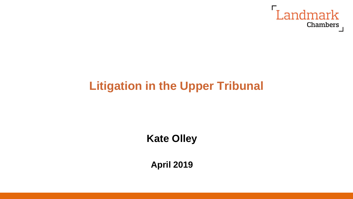

# **Litigation in the Upper Tribunal**

## **Kate Olley**

**April 2019**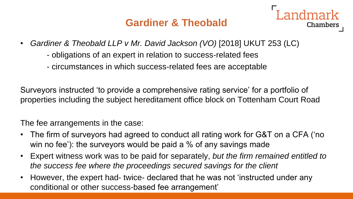### **Gardiner & Theobald**

Chambers

- *Gardiner & Theobald LLP v Mr. David Jackson (VO)* [2018] UKUT 253 (LC)
	- obligations of an expert in relation to success-related fees
	- circumstances in which success-related fees are acceptable

Surveyors instructed 'to provide a comprehensive rating service' for a portfolio of properties including the subject hereditament office block on Tottenham Court Road

The fee arrangements in the case:

- The firm of surveyors had agreed to conduct all rating work for G&T on a CFA ('no win no fee'): the surveyors would be paid a % of any savings made
- Expert witness work was to be paid for separately, *but the firm remained entitled to the success fee where the proceedings secured savings for the client*
- However, the expert had- twice- declared that he was not 'instructed under any conditional or other success-based fee arrangement'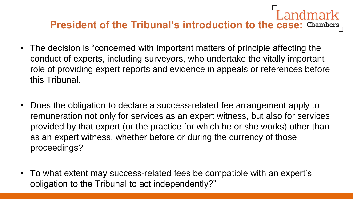## Landmark **President of the Tribunal's introduction to the case: Chambers**

- The decision is "concerned with important matters of principle affecting the conduct of experts, including surveyors, who undertake the vitally important role of providing expert reports and evidence in appeals or references before this Tribunal.
- Does the obligation to declare a success-related fee arrangement apply to remuneration not only for services as an expert witness, but also for services provided by that expert (or the practice for which he or she works) other than as an expert witness, whether before or during the currency of those proceedings?
- To what extent may success-related fees be compatible with an expert's obligation to the Tribunal to act independently?"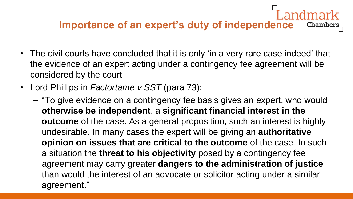#### **Importance of an expert's duty of independence Chambers**

- The civil courts have concluded that it is only 'in a very rare case indeed' that the evidence of an expert acting under a contingency fee agreement will be considered by the court
- Lord Phillips in *Factortame v SST* (para 73):
	- "To give evidence on a contingency fee basis gives an expert, who would **otherwise be independent**, a **significant financial interest in the outcome** of the case. As a general proposition, such an interest is highly undesirable. In many cases the expert will be giving an **authoritative opinion on issues that are critical to the outcome** of the case. In such a situation the **threat to his objectivity** posed by a contingency fee agreement may carry greater **dangers to the administration of justice**  than would the interest of an advocate or solicitor acting under a similar agreement."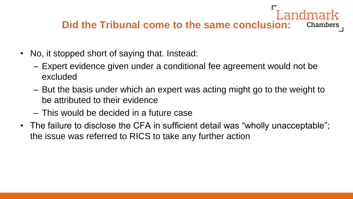#### **Did the Tribunal come to the same conclusion:** Chambers

- No, it stopped short of saying that. Instead:
	- Expert evidence given under a conditional fee agreement would not be excluded
	- But the basis under which an expert was acting might go to the weight to be attributed to their evidence
	- This would be decided in a future case
- The failure to disclose the CFA in sufficient detail was "wholly unacceptable"; the issue was referred to RICS to take any further action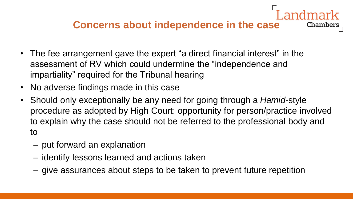### **Concerns about independence in the case**

- The fee arrangement gave the expert "a direct financial interest" in the assessment of RV which could undermine the "independence and impartiality" required for the Tribunal hearing
- No adverse findings made in this case
- Should only exceptionally be any need for going through a *Hamid-*style procedure as adopted by High Court: opportunity for person/practice involved to explain why the case should not be referred to the professional body and to
	- put forward an explanation
	- identify lessons learned and actions taken
	- give assurances about steps to be taken to prevent future repetition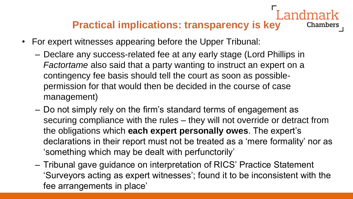#### **Practical implications: transparency is key Chambers**

- For expert witnesses appearing before the Upper Tribunal:
	- Declare any success-related fee at any early stage (Lord Phillips in *Factortame* also said that a party wanting to instruct an expert on a contingency fee basis should tell the court as soon as possiblepermission for that would then be decided in the course of case management)
	- Do not simply rely on the firm's standard terms of engagement as securing compliance with the rules – they will not override or detract from the obligations which **each expert personally owes**. The expert's declarations in their report must not be treated as a 'mere formality' nor as 'something which may be dealt with perfunctorily'
	- Tribunal gave guidance on interpretation of RICS' Practice Statement 'Surveyors acting as expert witnesses'; found it to be inconsistent with the fee arrangements in place'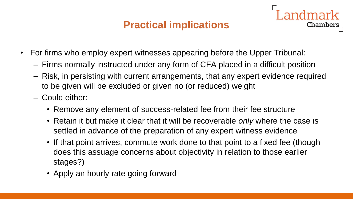### **Practical implications**

- For firms who employ expert witnesses appearing before the Upper Tribunal:
	- Firms normally instructed under any form of CFA placed in a difficult position
	- Risk, in persisting with current arrangements, that any expert evidence required to be given will be excluded or given no (or reduced) weight
	- Could either:
		- Remove any element of success-related fee from their fee structure
		- Retain it but make it clear that it will be recoverable *only* where the case is settled in advance of the preparation of any expert witness evidence
		- If that point arrives, commute work done to that point to a fixed fee (though does this assuage concerns about objectivity in relation to those earlier stages?)
		- Apply an hourly rate going forward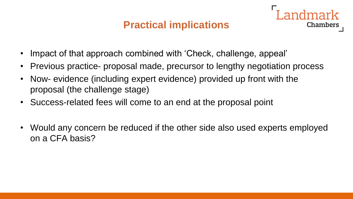#### **Practical implications**

- Impact of that approach combined with 'Check, challenge, appeal'
- Previous practice- proposal made, precursor to lengthy negotiation process
- Now- evidence (including expert evidence) provided up front with the proposal (the challenge stage)
- Success-related fees will come to an end at the proposal point
- Would any concern be reduced if the other side also used experts employed on a CFA basis?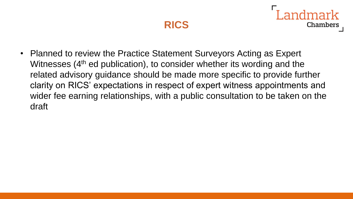

**Chambers** 

• Planned to review the Practice Statement Surveyors Acting as Expert Witnesses (4<sup>th</sup> ed publication), to consider whether its wording and the related advisory guidance should be made more specific to provide further clarity on RICS' expectations in respect of expert witness appointments and wider fee earning relationships, with a public consultation to be taken on the draft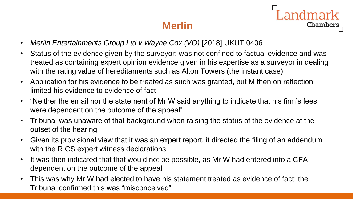## **Merlin**

- **Landmark** Chambers
- Merlin Entertainments Group Ltd v Wayne Cox (VO) [2018] UKUT 0406
- Status of the evidence given by the surveyor: was not confined to factual evidence and was treated as containing expert opinion evidence given in his expertise as a surveyor in dealing with the rating value of hereditaments such as Alton Towers (the instant case)
- Application for his evidence to be treated as such was granted, but M then on reflection limited his evidence to evidence of fact
- "Neither the email nor the statement of Mr W said anything to indicate that his firm's fees were dependent on the outcome of the appeal"
- Tribunal was unaware of that background when raising the status of the evidence at the outset of the hearing
- Given its provisional view that it was an expert report, it directed the filing of an addendum with the RICS expert witness declarations
- It was then indicated that that would not be possible, as Mr W had entered into a CFA dependent on the outcome of the appeal
- This was why Mr W had elected to have his statement treated as evidence of fact; the Tribunal confirmed this was "misconceived"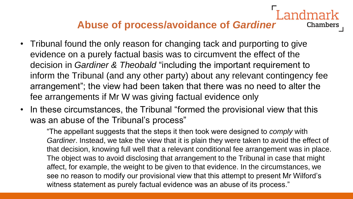### **Abuse of process/avoidance of** *Gardiner*

**Chambers** 

- Tribunal found the only reason for changing tack and purporting to give evidence on a purely factual basis was to circumvent the effect of the decision in *Gardiner & Theobald* "including the important requirement to inform the Tribunal (and any other party) about any relevant contingency fee arrangement"; the view had been taken that there was no need to alter the fee arrangements if Mr W was giving factual evidence only
- In these circumstances, the Tribunal "formed the provisional view that this was an abuse of the Tribunal's process"

"The appellant suggests that the steps it then took were designed to *comply* with *Gardiner*. Instead, we take the view that it is plain they were taken to avoid the effect of that decision, knowing full well that a relevant conditional fee arrangement was in place. The object was to avoid disclosing that arrangement to the Tribunal in case that might affect, for example, the weight to be given to that evidence. In the circumstances, we see no reason to modify our provisional view that this attempt to present Mr Wilford's witness statement as purely factual evidence was an abuse of its process."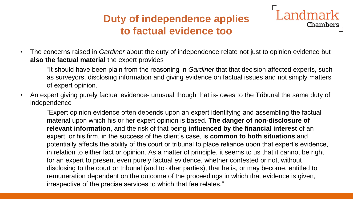### **Duty of independence applies to factual evidence too**



"It should have been plain from the reasoning in *Gardiner* that that decision affected experts, such as surveyors, disclosing information and giving evidence on factual issues and not simply matters of expert opinion."

Landmark

Chambers

• An expert giving purely factual evidence- unusual though that is- owes to the Tribunal the same duty of independence

"Expert opinion evidence often depends upon an expert identifying and assembling the factual material upon which his or her expert opinion is based. **The danger of non-disclosure of relevant information**, and the risk of that being **influenced by the financial interest** of an expert, or his firm, in the success of the client's case, is **common to both situations** and potentially affects the ability of the court or tribunal to place reliance upon that expert's evidence, in relation to either fact or opinion. As a matter of principle, it seems to us that it cannot be right for an expert to present even purely factual evidence, whether contested or not, without disclosing to the court or tribunal (and to other parties), that he is, or may become, entitled to remuneration dependent on the outcome of the proceedings in which that evidence is given, irrespective of the precise services to which that fee relates."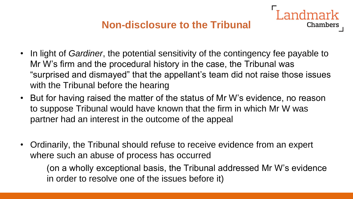#### **Non-disclosure to the Tribunal**

ndmark

Chambers

- In light of *Gardiner*, the potential sensitivity of the contingency fee payable to Mr W's firm and the procedural history in the case, the Tribunal was "surprised and dismayed" that the appellant's team did not raise those issues with the Tribunal before the hearing
- But for having raised the matter of the status of Mr W's evidence, no reason to suppose Tribunal would have known that the firm in which Mr W was partner had an interest in the outcome of the appeal
- Ordinarily, the Tribunal should refuse to receive evidence from an expert where such an abuse of process has occurred

(on a wholly exceptional basis, the Tribunal addressed Mr W's evidence in order to resolve one of the issues before it)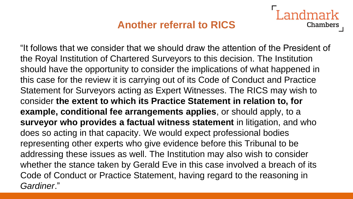### **Another referral to RICS**

Chambers

"It follows that we consider that we should draw the attention of the President of the Royal Institution of Chartered Surveyors to this decision. The Institution should have the opportunity to consider the implications of what happened in this case for the review it is carrying out of its Code of Conduct and Practice Statement for Surveyors acting as Expert Witnesses. The RICS may wish to consider **the extent to which its Practice Statement in relation to, for example, conditional fee arrangements applies**, or should apply, to a **surveyor who provides a factual witness statement** in litigation, and who does so acting in that capacity. We would expect professional bodies representing other experts who give evidence before this Tribunal to be addressing these issues as well. The Institution may also wish to consider whether the stance taken by Gerald Eve in this case involved a breach of its Code of Conduct or Practice Statement, having regard to the reasoning in *Gardiner*."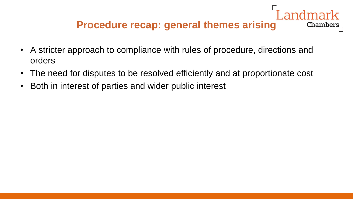## **Procedure recap: general themes arising**

- A stricter approach to compliance with rules of procedure, directions and orders
- The need for disputes to be resolved efficiently and at proportionate cost
- Both in interest of parties and wider public interest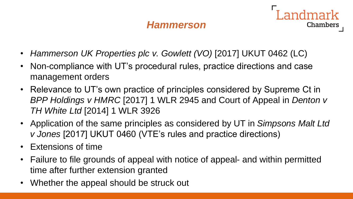#### *Hammerson*

- *Hammerson UK Properties plc v. Gowlett (VO)* [2017] UKUT 0462 (LC)
- Non-compliance with UT's procedural rules, practice directions and case management orders
- Relevance to UT's own practice of principles considered by Supreme Ct in *BPP Holdings v HMRC* [2017] 1 WLR 2945 and Court of Appeal in *Denton v TH White Ltd* [2014] 1 WLR 3926
- Application of the same principles as considered by UT in *Simpsons Malt Ltd v Jones* [2017] UKUT 0460 (VTE's rules and practice directions)
- Extensions of time
- Failure to file grounds of appeal with notice of appeal- and within permitted time after further extension granted
- Whether the appeal should be struck out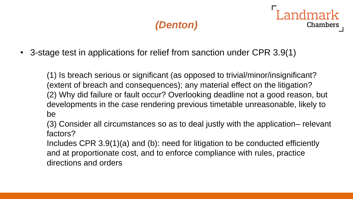## *(Denton)*

**Chambers** 

• 3-stage test in applications for relief from sanction under CPR 3.9(1)

(1) Is breach serious or significant (as opposed to trivial/minor/insignificant? (extent of breach and consequences); any material effect on the litigation? (2) Why did failure or fault occur? Overlooking deadline not a good reason, but developments in the case rendering previous timetable unreasonable, likely to be

(3) Consider all circumstances so as to deal justly with the application– relevant factors?

Includes CPR 3.9(1)(a) and (b): need for litigation to be conducted efficiently and at proportionate cost, and to enforce compliance with rules, practice directions and orders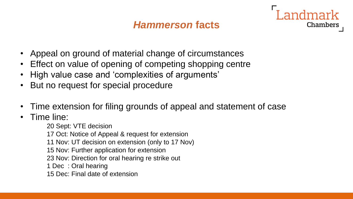#### *Hammerson* **facts**



- Appeal on ground of material change of circumstances
- Effect on value of opening of competing shopping centre
- High value case and 'complexities of arguments'
- But no request for special procedure
- Time extension for filing grounds of appeal and statement of case
- Time line:

20 Sept: VTE decision 17 Oct: Notice of Appeal & request for extension 11 Nov: UT decision on extension (only to 17 Nov) 15 Nov: Further application for extension 23 Nov: Direction for oral hearing re strike out 1 Dec : Oral hearing 15 Dec: Final date of extension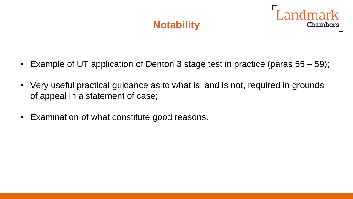## **Notability**



- Example of UT application of Denton 3 stage test in practice (paras 55 59);
- Very useful practical guidance as to what is, and is not, required in grounds of appeal in a statement of case;
- Examination of what constitute good reasons.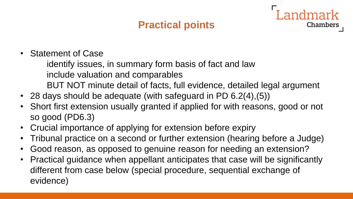## **Practical points**

Chambers

• Statement of Case

identify issues, in summary form basis of fact and law include valuation and comparables BUT NOT minute detail of facts, full evidence, detailed legal argument

- 28 days should be adequate (with safeguard in PD 6.2(4),(5))
- Short first extension usually granted if applied for with reasons, good or not so good (PD6.3)
- Crucial importance of applying for extension before expiry
- Tribunal practice on a second or further extension (hearing before a Judge)
- Good reason, as opposed to genuine reason for needing an extension?
- Practical guidance when appellant anticipates that case will be significantly different from case below (special procedure, sequential exchange of evidence)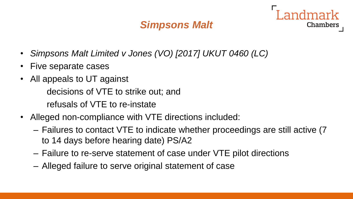## *Simpsons Malt*



- Five separate cases
- All appeals to UT against decisions of VTE to strike out; and refusals of VTE to re-instate
- Alleged non-compliance with VTE directions included:
	- Failures to contact VTE to indicate whether proceedings are still active (7 to 14 days before hearing date) PS/A2
	- Failure to re-serve statement of case under VTE pilot directions
	- Alleged failure to serve original statement of case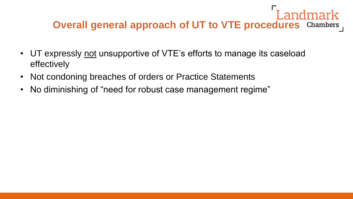## Landmark **Overall general approach of UT to VTE procedures** Chambers

- UT expressly not unsupportive of VTE's efforts to manage its caseload effectively
- Not condoning breaches of orders or Practice Statements
- No diminishing of "need for robust case management regime"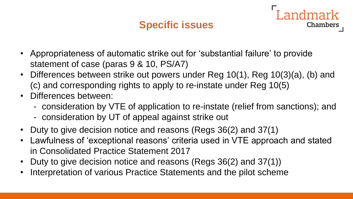## **Specific issues**

ndmark

- Appropriateness of automatic strike out for 'substantial failure' to provide statement of case (paras 9 & 10, PS/A7)
- Differences between strike out powers under Reg 10(1), Reg 10(3)(a), (b) and (c) and corresponding rights to apply to re-instate under Reg 10(5)
- Differences between:
	- consideration by VTE of application to re-instate (relief from sanctions); and
	- consideration by UT of appeal against strike out
- Duty to give decision notice and reasons (Regs 36(2) and 37(1)
- Lawfulness of 'exceptional reasons' criteria used in VTE approach and stated in Consolidated Practice Statement 2017
- Duty to give decision notice and reasons (Regs 36(2) and 37(1))
- Interpretation of various Practice Statements and the pilot scheme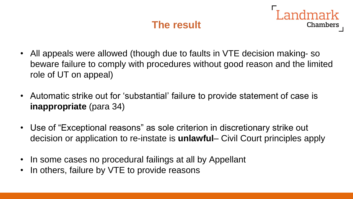## **The result**

- All appeals were allowed (though due to faults in VTE decision making- so beware failure to comply with procedures without good reason and the limited role of UT on appeal)
- Automatic strike out for 'substantial' failure to provide statement of case is **inappropriate** (para 34)
- Use of "Exceptional reasons" as sole criterion in discretionary strike out decision or application to re-instate is **unlawful**– Civil Court principles apply
- In some cases no procedural failings at all by Appellant
- In others, failure by VTE to provide reasons